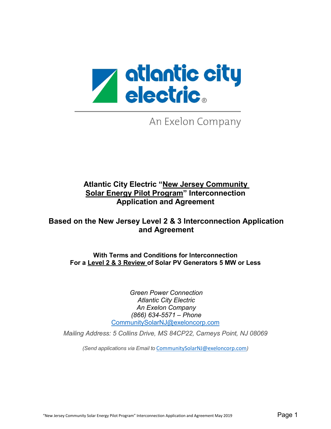

An Exelon Company

## **Atlantic City Electric "New Jersey Community Solar Energy Pilot Program" Interconnection Application and Agreement**

## **Based on the New Jersey Level 2 & 3 Interconnection Application and Agreement**

**With Terms and Conditions for Interconnection For a Level 2 & 3 Review of Solar PV Generators 5 MW or Less**

> *Green Power Connection Atlantic City Electric An Exelon Company (866) 634-5571 – Phone* [CommunitySolarNJ@exeloncorp.com](mailto:CommunitySolarNJ@exeloncorp.com)

*Mailing Address: 5 Collins Drive, MS 84CP22, Carneys Point, NJ 08069*

*(Send applications via Email to* [CommunitySolarNJ@exeloncorp.com](mailto:CommunitySolarNJ@exeloncorp.com)*)*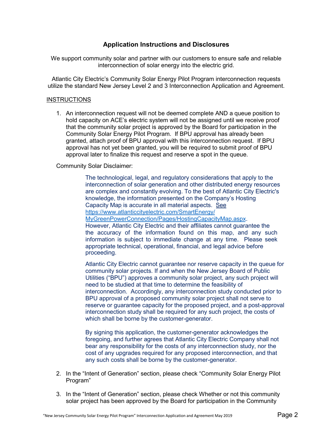#### **Application Instructions and Disclosures**

We support community solar and partner with our customers to ensure safe and reliable interconnection of solar energy into the electric grid.

Atlantic City Electric's Community Solar Energy Pilot Program interconnection requests utilize the standard New Jersey Level 2 and 3 Interconnection Application and Agreement.

#### **INSTRUCTIONS**

1. An interconnection request will not be deemed complete AND a queue position to hold capacity on ACE's electric system will not be assigned until we receive proof that the community solar project is approved by the Board for participation in the Community Solar Energy Pilot Program. If BPU approval has already been granted, attach proof of BPU approval with this interconnection request. If BPU approval has not yet been granted, you will be required to submit proof of BPU approval later to finalize this request and reserve a spot in the queue.

#### Community Solar Disclaimer:

The technological, legal, and regulatory considerations that apply to the interconnection of solar generation and other distributed energy resources are complex and constantly evolving. To the best of Atlantic City Electric's knowledge, the information presented on the Company's Hosting Capacity Map is accurate in all material aspects. See https://www.atlanticcityelectric.com/SmartEnergy/ [MyGreenPowerConnection/Pages/HostingCapacityMap.aspx](https://www.atlanticcityelectric.com/MyAccount/MyService/Pages/Hosting-Capacity-Map.aspx). [However, Atlantic C](https://www.atlanticcityelectric.com/MyAccount/MyService/Pages/Hosting-Capacity-Map.aspx)ity Electric and their affiliates cannot guarantee the the accuracy of the information found on this map, and any such information is subject to immediate change at any time. Please seek appropriate technical, operational, financial, and legal advice before proceeding.

Atlantic City Electric cannot guarantee nor reserve capacity in the queue for community solar projects. If and when the New Jersey Board of Public Utilities ("BPU") approves a community solar project, any such project will need to be studied at that time to determine the feasibility of interconnection. Accordingly, any interconnection study conducted prior to BPU approval of a proposed community solar project shall not serve to reserve or guarantee capacity for the proposed project, and a post-approval interconnection study shall be required for any such project, the costs of which shall be borne by the customer-generator.

By signing this application, the customer-generator acknowledges the foregoing, and further agrees that Atlantic City Electric Company shall not bear any responsibility for the costs of any interconnection study, nor the cost of any upgrades required for any proposed interconnection, and that any such costs shall be borne by the customer-generator.

- 2. In the "Intent of Generation" section, please check "Community Solar Energy Pilot Program"
- 3. In the "Intent of Generation" section, please check Whether or not this community solar project has been approved by the Board for participation in the Community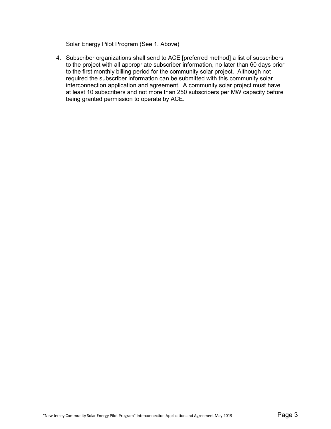Solar Energy Pilot Program (See 1. Above)

4. Subscriber organizations shall send to ACE [preferred method] a list of subscribers to the project with all appropriate subscriber information, no later than 60 days prior to the first monthly billing period for the community solar project. Although not required the subscriber information can be submitted with this community solar interconnection application and agreement. A community solar project must have at least 10 subscribers and not more than 250 subscribers per MW capacity before being granted permission to operate by ACE.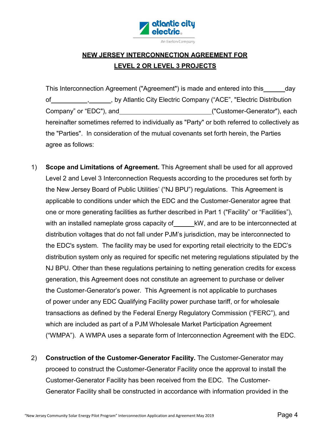

## **NEW JERSEY INTERCONNECTION AGREEMENT FOR LEVEL 2 OR LEVEL 3 PROJECTS**

This Interconnection Agreement ("Agreement") is made and entered into this \_\_\_\_\_\_ day of , , by Atlantic City Electric Company ("ACE", "Electric Distribution Company" or "EDC"), and  $\qquad \qquad$  ("Customer-Generator"), each hereinafter sometimes referred to individually as "Party" or both referred to collectively as the "Parties". In consideration of the mutual covenants set forth herein, the Parties agree as follows:

- 1) **Scope and Limitations of Agreement.** This Agreement shall be used for all approved Level 2 and Level 3 Interconnection Requests according to the procedures set forth by the New Jersey Board of Public Utilities' ("NJ BPU") regulations. This Agreement is applicable to conditions under which the EDC and the Customer-Generator agree that one or more generating facilities as further described in Part 1 ("Facility" or "Facilities"), with an installed nameplate gross capacity of kW, and are to be interconnected at distribution voltages that do not fall under PJM's jurisdiction, may be interconnected to the EDC's system. The facility may be used for exporting retail electricity to the EDC's distribution system only as required for specific net metering regulations stipulated by the NJ BPU. Other than these regulations pertaining to netting generation credits for excess generation, this Agreement does not constitute an agreement to purchase or deliver the Customer-Generator's power. This Agreement is not applicable to purchases of power under any EDC Qualifying Facility power purchase tariff, or for wholesale transactions as defined by the Federal Energy Regulatory Commission ("FERC"), and which are included as part of a PJM Wholesale Market Participation Agreement ("WMPA"). A WMPA uses a separate form of Interconnection Agreement with the EDC.
- 2) **Construction of the Customer-Generator Facility.** The Customer-Generator may proceed to construct the Customer-Generator Facility once the approval to install the Customer-Generator Facility has been received from the EDC. The Customer-Generator Facility shall be constructed in accordance with information provided in the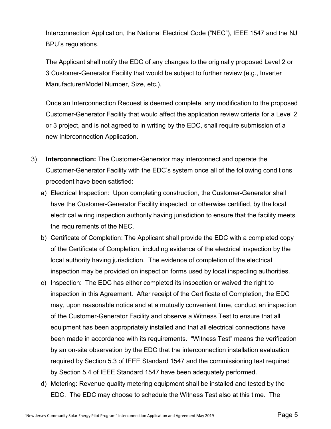Interconnection Application, the National Electrical Code ("NEC"), IEEE 1547 and the NJ BPU's regulations.

The Applicant shall notify the EDC of any changes to the originally proposed Level 2 or 3 Customer-Generator Facility that would be subject to further review (e.g., Inverter Manufacturer/Model Number, Size, etc.).

Once an Interconnection Request is deemed complete, any modification to the proposed Customer-Generator Facility that would affect the application review criteria for a Level 2 or 3 project, and is not agreed to in writing by the EDC, shall require submission of a new Interconnection Application.

- 3) **Interconnection:** The Customer-Generator may interconnect and operate the Customer-Generator Facility with the EDC's system once all of the following conditions precedent have been satisfied:
	- a) Electrical Inspection: Upon completing construction, the Customer-Generator shall have the Customer-Generator Facility inspected, or otherwise certified, by the local electrical wiring inspection authority having jurisdiction to ensure that the facility meets the requirements of the NEC.
	- b) Certificate of Completion: The Applicant shall provide the EDC with a completed copy of the Certificate of Completion, including evidence of the electrical inspection by the local authority having jurisdiction. The evidence of completion of the electrical inspection may be provided on inspection forms used by local inspecting authorities.
	- c) Inspection: The EDC has either completed its inspection or waived the right to inspection in this Agreement. After receipt of the Certificate of Completion, the EDC may, upon reasonable notice and at a mutually convenient time, conduct an inspection of the Customer-Generator Facility and observe a Witness Test to ensure that all equipment has been appropriately installed and that all electrical connections have been made in accordance with its requirements. "Witness Test" means the verification by an on-site observation by the EDC that the interconnection installation evaluation required by Section 5.3 of IEEE Standard 1547 and the commissioning test required by Section 5.4 of IEEE Standard 1547 have been adequately performed.
	- d) Metering: Revenue quality metering equipment shall be installed and tested by the EDC. The EDC may choose to schedule the Witness Test also at this time. The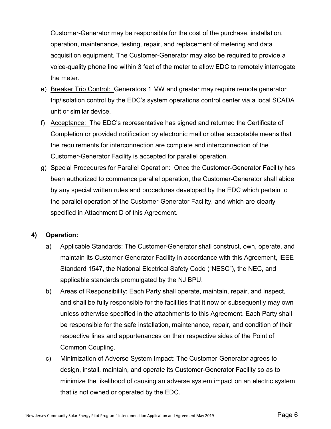Customer-Generator may be responsible for the cost of the purchase, installation, operation, maintenance, testing, repair, and replacement of metering and data acquisition equipment. The Customer-Generator may also be required to provide a voice-quality phone line within 3 feet of the meter to allow EDC to remotely interrogate the meter.

- e) Breaker Trip Control: Generators 1 MW and greater may require remote generator trip/isolation control by the EDC's system operations control center via a local SCADA unit or similar device.
- f) Acceptance: The EDC's representative has signed and returned the Certificate of Completion or provided notification by electronic mail or other acceptable means that the requirements for interconnection are complete and interconnection of the Customer-Generator Facility is accepted for parallel operation.
- g) Special Procedures for Parallel Operation: Once the Customer-Generator Facility has been authorized to commence parallel operation, the Customer-Generator shall abide by any special written rules and procedures developed by the EDC which pertain to the parallel operation of the Customer-Generator Facility, and which are clearly specified in Attachment D of this Agreement.

### **4) Operation:**

- a) Applicable Standards: The Customer-Generator shall construct, own, operate, and maintain its Customer-Generator Facility in accordance with this Agreement, IEEE Standard 1547, the National Electrical Safety Code ("NESC"), the NEC, and applicable standards promulgated by the NJ BPU.
- b) Areas of Responsibility: Each Party shall operate, maintain, repair, and inspect, and shall be fully responsible for the facilities that it now or subsequently may own unless otherwise specified in the attachments to this Agreement. Each Party shall be responsible for the safe installation, maintenance, repair, and condition of their respective lines and appurtenances on their respective sides of the Point of Common Coupling.
- c) Minimization of Adverse System Impact: The Customer-Generator agrees to design, install, maintain, and operate its Customer-Generator Facility so as to minimize the likelihood of causing an adverse system impact on an electric system that is not owned or operated by the EDC.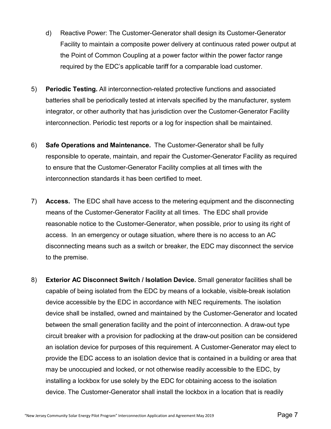- d) Reactive Power: The Customer-Generator shall design its Customer-Generator Facility to maintain a composite power delivery at continuous rated power output at the Point of Common Coupling at a power factor within the power factor range required by the EDC's applicable tariff for a comparable load customer.
- 5) **Periodic Testing.** All interconnection-related protective functions and associated batteries shall be periodically tested at intervals specified by the manufacturer, system integrator, or other authority that has jurisdiction over the Customer-Generator Facility interconnection. Periodic test reports or a log for inspection shall be maintained.
- 6) **Safe Operations and Maintenance.** The Customer-Generator shall be fully responsible to operate, maintain, and repair the Customer-Generator Facility as required to ensure that the Customer-Generator Facility complies at all times with the interconnection standards it has been certified to meet.
- 7) **Access.** The EDC shall have access to the metering equipment and the disconnecting means of the Customer-Generator Facility at all times. The EDC shall provide reasonable notice to the Customer-Generator, when possible, prior to using its right of access. In an emergency or outage situation, where there is no access to an AC disconnecting means such as a switch or breaker, the EDC may disconnect the service to the premise.
- 8) **Exterior AC Disconnect Switch / Isolation Device.** Small generator facilities shall be capable of being isolated from the EDC by means of a lockable, visible-break isolation device accessible by the EDC in accordance with NEC requirements. The isolation device shall be installed, owned and maintained by the Customer-Generator and located between the small generation facility and the point of interconnection. A draw-out type circuit breaker with a provision for padlocking at the draw-out position can be considered an isolation device for purposes of this requirement. A Customer-Generator may elect to provide the EDC access to an isolation device that is contained in a building or area that may be unoccupied and locked, or not otherwise readily accessible to the EDC, by installing a lockbox for use solely by the EDC for obtaining access to the isolation device. The Customer-Generator shall install the lockbox in a location that is readily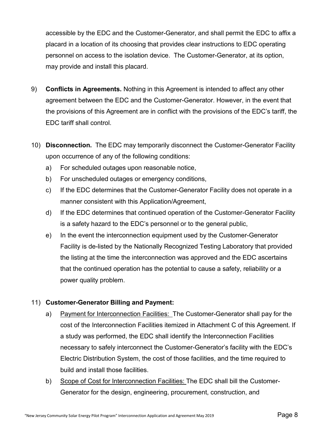accessible by the EDC and the Customer-Generator, and shall permit the EDC to affix a placard in a location of its choosing that provides clear instructions to EDC operating personnel on access to the isolation device. The Customer-Generator, at its option, may provide and install this placard.

- 9) **Conflicts in Agreements.** Nothing in this Agreement is intended to affect any other agreement between the EDC and the Customer-Generator. However, in the event that the provisions of this Agreement are in conflict with the provisions of the EDC's tariff, the EDC tariff shall control.
- 10) **Disconnection.** The EDC may temporarily disconnect the Customer-Generator Facility upon occurrence of any of the following conditions:
	- a) For scheduled outages upon reasonable notice,
	- b) For unscheduled outages or emergency conditions,
	- c) If the EDC determines that the Customer-Generator Facility does not operate in a manner consistent with this Application/Agreement,
	- d) If the EDC determines that continued operation of the Customer-Generator Facility is a safety hazard to the EDC's personnel or to the general public,
	- e) In the event the interconnection equipment used by the Customer-Generator Facility is de-listed by the Nationally Recognized Testing Laboratory that provided the listing at the time the interconnection was approved and the EDC ascertains that the continued operation has the potential to cause a safety, reliability or a power quality problem.

### 11) **Customer-Generator Billing and Payment:**

- a) Payment for Interconnection Facilities: The Customer-Generator shall pay for the cost of the Interconnection Facilities itemized in Attachment C of this Agreement. If a study was performed, the EDC shall identify the Interconnection Facilities necessary to safely interconnect the Customer-Generator's facility with the EDC's Electric Distribution System, the cost of those facilities, and the time required to build and install those facilities.
- b) Scope of Cost for Interconnection Facilities: The EDC shall bill the Customer-Generator for the design, engineering, procurement, construction, and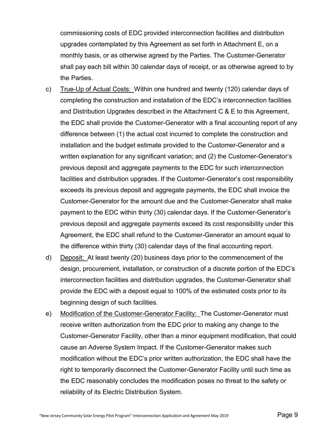commissioning costs of EDC provided interconnection facilities and distribution upgrades contemplated by this Agreement as set forth in Attachment E, on a monthly basis, or as otherwise agreed by the Parties. The Customer-Generator shall pay each bill within 30 calendar days of receipt, or as otherwise agreed to by the Parties.

- c) True-Up of Actual Costs: Within one hundred and twenty (120) calendar days of completing the construction and installation of the EDC's interconnection facilities and Distribution Upgrades described in the Attachment C & E to this Agreement, the EDC shall provide the Customer-Generator with a final accounting report of any difference between (1) the actual cost incurred to complete the construction and installation and the budget estimate provided to the Customer-Generator and a written explanation for any significant variation; and (2) the Customer-Generator's previous deposit and aggregate payments to the EDC for such interconnection facilities and distribution upgrades. If the Customer-Generator's cost responsibility exceeds its previous deposit and aggregate payments, the EDC shall invoice the Customer-Generator for the amount due and the Customer-Generator shall make payment to the EDC within thirty (30) calendar days. If the Customer-Generator's previous deposit and aggregate payments exceed its cost responsibility under this Agreement, the EDC shall refund to the Customer-Generator an amount equal to the difference within thirty (30) calendar days of the final accounting report.
- d) Deposit: At least twenty (20) business days prior to the commencement of the design, procurement, installation, or construction of a discrete portion of the EDC's interconnection facilities and distribution upgrades, the Customer-Generator shall provide the EDC with a deposit equal to 100% of the estimated costs prior to its beginning design of such facilities.
- e) Modification of the Customer-Generator Facility: The Customer-Generator must receive written authorization from the EDC prior to making any change to the Customer-Generator Facility, other than a minor equipment modification, that could cause an Adverse System Impact. If the Customer-Generator makes such modification without the EDC's prior written authorization, the EDC shall have the right to temporarily disconnect the Customer-Generator Facility until such time as the EDC reasonably concludes the modification poses no threat to the safety or reliability of its Electric Distribution System.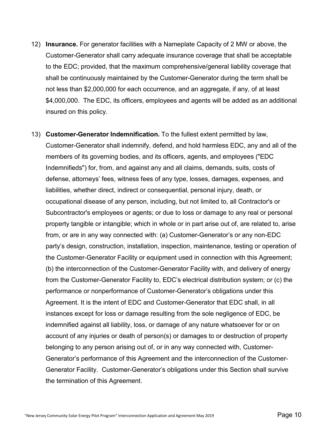- 12) **Insurance.** For generator facilities with a Nameplate Capacity of 2 MW or above, the Customer-Generator shall carry adequate insurance coverage that shall be acceptable to the EDC; provided, that the maximum comprehensive/general liability coverage that shall be continuously maintained by the Customer-Generator during the term shall be not less than \$2,000,000 for each occurrence, and an aggregate, if any, of at least \$4,000,000. The EDC, its officers, employees and agents will be added as an additional insured on this policy.
- 13) **Customer-Generator Indemnification.** To the fullest extent permitted by law, Customer-Generator shall indemnify, defend, and hold harmless EDC, any and all of the members of its governing bodies, and its officers, agents, and employees ("EDC Indemnifieds") for, from, and against any and all claims, demands, suits, costs of defense, attorneys' fees, witness fees of any type, losses, damages, expenses, and liabilities, whether direct, indirect or consequential, personal injury, death, or occupational disease of any person, including, but not limited to, all Contractor's or Subcontractor's employees or agents; or due to loss or damage to any real or personal property tangible or intangible; which in whole or in part arise out of, are related to, arise from, or are in any way connected with: (a) Customer-Generator's or any non-EDC party's design, construction, installation, inspection, maintenance, testing or operation of the Customer-Generator Facility or equipment used in connection with this Agreement; (b) the interconnection of the Customer-Generator Facility with, and delivery of energy from the Customer-Generator Facility to, EDC's electrical distribution system; or (c) the performance or nonperformance of Customer-Generator's obligations under this Agreement. It is the intent of EDC and Customer-Generator that EDC shall, in all instances except for loss or damage resulting from the sole negligence of EDC, be indemnified against all liability, loss, or damage of any nature whatsoever for or on account of any injuries or death of person(s) or damages to or destruction of property belonging to any person arising out of, or in any way connected with, Customer-Generator's performance of this Agreement and the interconnection of the Customer-Generator Facility. Customer-Generator's obligations under this Section shall survive the termination of this Agreement.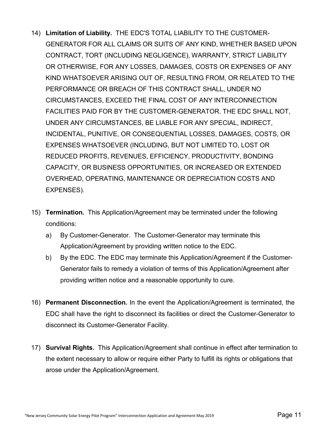- 14) **Limitation of Liability.** THE EDC'S TOTAL LIABILITY TO THE CUSTOMER-GENERATOR FOR ALL CLAIMS OR SUITS OF ANY KIND, WHETHER BASED UPON CONTRACT, TORT (INCLUDING NEGLIGENCE), WARRANTY, STRICT LIABILITY OR OTHERWISE, FOR ANY LOSSES, DAMAGES, COSTS OR EXPENSES OF ANY KIND WHATSOEVER ARISING OUT OF, RESULTING FROM, OR RELATED TO THE PERFORMANCE OR BREACH OF THIS CONTRACT SHALL, UNDER NO CIRCUMSTANCES, EXCEED THE FINAL COST OF ANY INTERCONNECTION FACILITIES PAID FOR BY THE CUSTOMER-GENERATOR. THE EDC SHALL NOT, UNDER ANY CIRCUMSTANCES, BE LIABLE FOR ANY SPECIAL, INDIRECT, INCIDENTAL, PUNITIVE, OR CONSEQUENTIAL LOSSES, DAMAGES, COSTS, OR EXPENSES WHATSOEVER (INCLUDING, BUT NOT LIMITED TO, LOST OR REDUCED PROFITS, REVENUES, EFFICIENCY, PRODUCTIVITY, BONDING CAPACITY, OR BUSINESS OPPORTUNITIES, OR INCREASED OR EXTENDED OVERHEAD, OPERATING, MAINTENANCE OR DEPRECIATION COSTS AND EXPENSES).
- 15) **Termination.** This Application/Agreement may be terminated under the following conditions:
	- a) By Customer-Generator. The Customer-Generator may terminate this Application/Agreement by providing written notice to the EDC.
	- b) By the EDC. The EDC may terminate this Application/Agreement if the Customer-Generator fails to remedy a violation of terms of this Application/Agreement after providing written notice and a reasonable opportunity to cure.
- 16) **Permanent Disconnection.** In the event the Application/Agreement is terminated, the EDC shall have the right to disconnect its facilities or direct the Customer-Generator to disconnect its Customer-Generator Facility.
- 17) **Survival Rights.** This Application/Agreement shall continue in effect after termination to the extent necessary to allow or require either Party to fulfill its rights or obligations that arose under the Application/Agreement.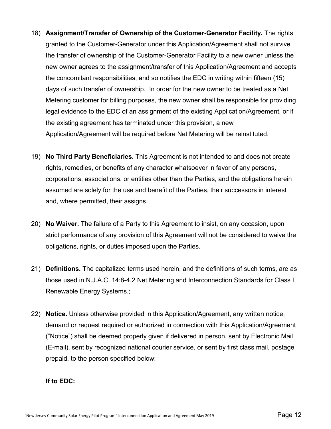- 18) **Assignment/Transfer of Ownership of the Customer-Generator Facility.** The rights granted to the Customer-Generator under this Application/Agreement shall not survive the transfer of ownership of the Customer-Generator Facility to a new owner unless the new owner agrees to the assignment/transfer of this Application/Agreement and accepts the concomitant responsibilities, and so notifies the EDC in writing within fifteen (15) days of such transfer of ownership. In order for the new owner to be treated as a Net Metering customer for billing purposes, the new owner shall be responsible for providing legal evidence to the EDC of an assignment of the existing Application/Agreement, or if the existing agreement has terminated under this provision, a new Application/Agreement will be required before Net Metering will be reinstituted.
- 19) **No Third Party Beneficiaries.** This Agreement is not intended to and does not create rights, remedies, or benefits of any character whatsoever in favor of any persons, corporations, associations, or entities other than the Parties, and the obligations herein assumed are solely for the use and benefit of the Parties, their successors in interest and, where permitted, their assigns.
- 20) **No Waiver.** The failure of a Party to this Agreement to insist, on any occasion, upon strict performance of any provision of this Agreement will not be considered to waive the obligations, rights, or duties imposed upon the Parties.
- 21) **Definitions.** The capitalized terms used herein, and the definitions of such terms, are as those used in N.J.A.C. 14:8-4.2 Net Metering and Interconnection Standards for Class I Renewable Energy Systems.;
- 22) **Notice.** Unless otherwise provided in this Application/Agreement, any written notice, demand or request required or authorized in connection with this Application/Agreement ("Notice") shall be deemed properly given if delivered in person, sent by Electronic Mail (E-mail), sent by recognized national courier service, or sent by first class mail, postage prepaid, to the person specified below:

#### **If to EDC:**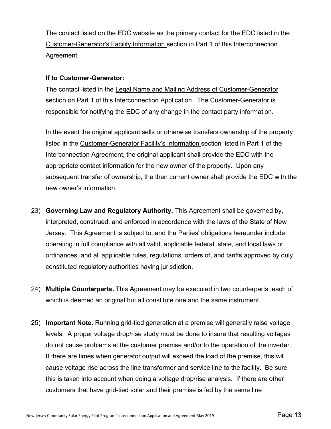The contact listed on the EDC website as the primary contact for the EDC listed in the Customer-Generator's Facility Information section in Part 1 of this Interconnection Agreement.

#### **If to Customer-Generator:**

The contact listed in the Legal Name and Mailing Address of Customer-Generator section on Part 1 of this Interconnection Application. The Customer-Generator is responsible for notifying the EDC of any change in the contact party information.

In the event the original applicant sells or otherwise transfers ownership of the property listed in the Customer-Generator Facility's Information section listed in Part 1 of the Interconnection Agreement, the original applicant shall provide the EDC with the appropriate contact information for the new owner of the property. Upon any subsequent transfer of ownership, the then current owner shall provide the EDC with the new owner's information.

- 23) **Governing Law and Regulatory Authority.** This Agreement shall be governed by, interpreted, construed, and enforced in accordance with the laws of the State of New Jersey. This Agreement is subject to, and the Parties' obligations hereunder include, operating in full compliance with all valid, applicable federal, state, and local laws or ordinances, and all applicable rules, regulations, orders of, and tariffs approved by duly constituted regulatory authorities having jurisdiction.
- 24) **Multiple Counterparts.** This Agreement may be executed in two counterparts, each of which is deemed an original but all constitute one and the same instrument.
- 25) **Important Note.** Running grid-tied generation at a premise will generally raise voltage levels. A proper voltage drop/rise study must be done to insure that resulting voltages do not cause problems at the customer premise and/or to the operation of the inverter. If there are times when generator output will exceed the load of the premise, this will cause voltage rise across the line transformer and service line to the facility. Be sure this is taken into account when doing a voltage drop/rise analysis. If there are other customers that have grid-tied solar and their premise is fed by the same line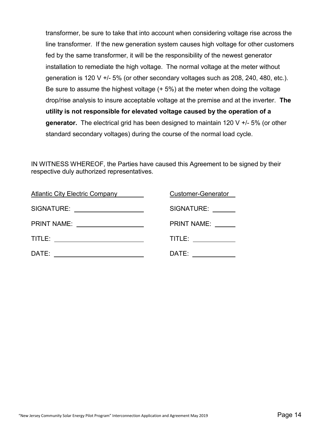transformer, be sure to take that into account when considering voltage rise across the line transformer. If the new generation system causes high voltage for other customers fed by the same transformer, it will be the responsibility of the newest generator installation to remediate the high voltage. The normal voltage at the meter without generation is 120 V +/- 5% (or other secondary voltages such as 208, 240, 480, etc.). Be sure to assume the highest voltage (+ 5%) at the meter when doing the voltage drop/rise analysis to insure acceptable voltage at the premise and at the inverter. **The utility is not responsible for elevated voltage caused by the operation of a generator.** The electrical grid has been designed to maintain 120 V +/- 5% (or other standard secondary voltages) during the course of the normal load cycle.

IN WITNESS WHEREOF, the Parties have caused this Agreement to be signed by their respective duly authorized representatives.

| Atlantic City Electric Company | <b>Customer-Generator</b> |
|--------------------------------|---------------------------|
| SIGNATURE:                     | SIGNATURE:                |
| <b>PRINT NAME:</b>             | <b>PRINT NAME:</b>        |
| TITLE:                         | TITLE:                    |
| DATE:                          | DATE:                     |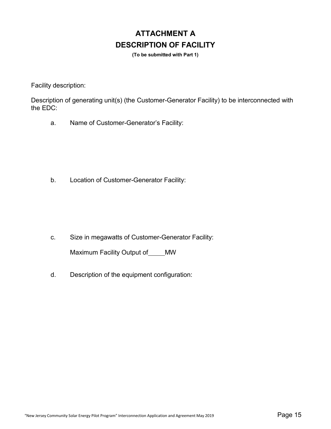# **ATTACHMENT A DESCRIPTION OF FACILITY**

**(To be submitted with Part 1)**

Facility description:

Description of generating unit(s) (the Customer-Generator Facility) to be interconnected with the EDC:

a. Name of Customer-Generator's Facility:

b. Location of Customer-Generator Facility:

c. Size in megawatts of Customer-Generator Facility:

Maximum Facility Output of \_\_\_\_MW

d. Description of the equipment configuration: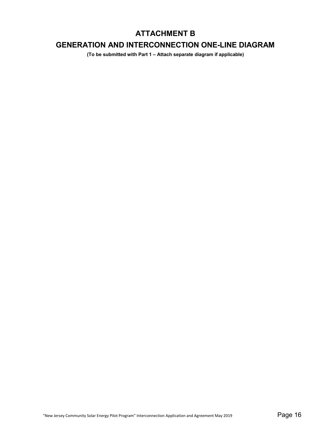## **ATTACHMENT B**

## **GENERATION AND INTERCONNECTION ONE-LINE DIAGRAM**

**(To be submitted with Part 1 – Attach separate diagram if applicable)**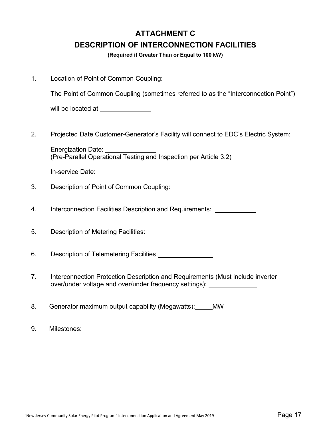# **ATTACHMENT C DESCRIPTION OF INTERCONNECTION FACILITIES**

**(Required if Greater Than or Equal to 100 kW)**

| Location of Point of Common Coupling: |  |
|---------------------------------------|--|
|---------------------------------------|--|

The Point of Common Coupling (sometimes referred to as the "Interconnection Point")

will be located at **will** be located at

2. Projected Date Customer-Generator's Facility will connect to EDC's Electric System:

Energization Date: (Pre-Parallel Operational Testing and Inspection per Article 3.2)

In-service Date: \[\]

3. Description of Point of Common Coupling:

4. Interconnection Facilities Description and Requirements:

5. Description of Metering Facilities:

6. Description of Telemetering Facilities

7. Interconnection Protection Description and Requirements (Must include inverter over/under voltage and over/under frequency settings):

8. Generator maximum output capability (Megawatts): MW

9. Milestones: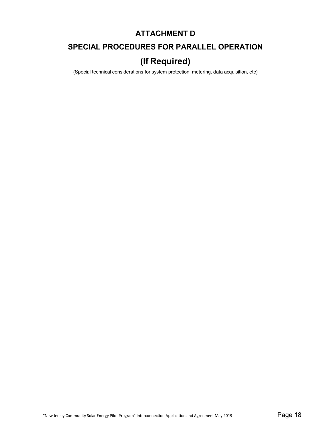## **ATTACHMENT D**

## **SPECIAL PROCEDURES FOR PARALLEL OPERATION**

# **(If Required)**

(Special technical considerations for system protection, metering, data acquisition, etc)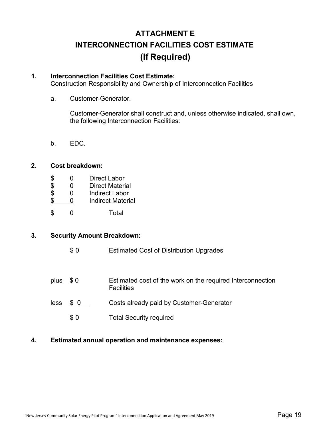# **ATTACHMENT E INTERCONNECTION FACILITIES COST ESTIMATE (If Required)**

#### **1. Interconnection Facilities Cost Estimate:**

Construction Responsibility and Ownership of Interconnection Facilities

a. Customer-Generator.

Customer-Generator shall construct and, unless otherwise indicated, shall own, the following Interconnection Facilities:

b. EDC.

#### **2. Cost breakdown:**

- 
- \$
0
Direct Labor<br>
\$
0
Direct Materi<br>
\$
0
Indirect Labo 0 Direct Material
- \$ 0 Indirect Labor<br>\$ 0 Indirect Materi
- 0 Indirect Material
- \$ 0 Total

#### **3. Security Amount Breakdown:**

- \$ 0 Estimated Cost of Distribution Upgrades
- plus \$ 0 Estimated cost of the work on the required Interconnection **Facilities**
- less \$ 0 Costs already paid by Customer-Generator
	- \$ 0 Total Security required

#### **4. Estimated annual operation and maintenance expenses:**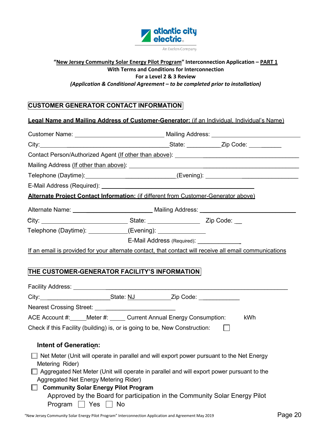

#### **"New Jersey Community Solar Energy Pilot Program" Interconnection Application – PART 1 With Terms and Conditions for Interconnection For a Level 2 & 3 Review** *(Application & Conditional Agreement – to be completed prior to installation)*

## **CUSTOMER GENERATOR CONTACT INFORMATION**

| <b>Legal Name and Mailing Address of Customer-Generator:</b> (if an Individual. Individual's Name)                                                                                                                            |                                                                                                                                                                                        |                            |     |  |
|-------------------------------------------------------------------------------------------------------------------------------------------------------------------------------------------------------------------------------|----------------------------------------------------------------------------------------------------------------------------------------------------------------------------------------|----------------------------|-----|--|
|                                                                                                                                                                                                                               |                                                                                                                                                                                        |                            |     |  |
|                                                                                                                                                                                                                               |                                                                                                                                                                                        |                            |     |  |
| Contact Person/Authorized Agent (If other than above): _________________________                                                                                                                                              |                                                                                                                                                                                        |                            |     |  |
|                                                                                                                                                                                                                               |                                                                                                                                                                                        |                            |     |  |
| Telephone (Daytime): ______________________________(Evening): __________________                                                                                                                                              |                                                                                                                                                                                        |                            |     |  |
|                                                                                                                                                                                                                               |                                                                                                                                                                                        |                            |     |  |
| Alternate Project Contact Information: (if different from Customer-Generator above)                                                                                                                                           |                                                                                                                                                                                        |                            |     |  |
| Alternate Name: ___________________________________ Mailing Address: _______________________________                                                                                                                          |                                                                                                                                                                                        |                            |     |  |
|                                                                                                                                                                                                                               |                                                                                                                                                                                        |                            |     |  |
| Telephone (Daytime): ___________(Evening): ______________                                                                                                                                                                     |                                                                                                                                                                                        |                            |     |  |
|                                                                                                                                                                                                                               |                                                                                                                                                                                        | E-Mail Address (Required): |     |  |
| If an email is provided for your alternate contact, that contact will receive all email communications                                                                                                                        |                                                                                                                                                                                        |                            |     |  |
| THE CUSTOMER-GENERATOR FACILITY'S INFORMATION                                                                                                                                                                                 |                                                                                                                                                                                        |                            |     |  |
| City: City: City: City: City: City: City: City: City: City: City: City: City: City: City: City: City: City: City: City: City: City: City: City: City: City: City: City: City: City: City: City: City: City: City: City: City: |                                                                                                                                                                                        |                            |     |  |
|                                                                                                                                                                                                                               |                                                                                                                                                                                        |                            |     |  |
| ACE Account #: Meter #: Current Annual Energy Consumption:                                                                                                                                                                    |                                                                                                                                                                                        |                            | kWh |  |
| Check if this Facility (building) is, or is going to be, New Construction:                                                                                                                                                    |                                                                                                                                                                                        |                            |     |  |
| <b>Intent of Generation:</b>                                                                                                                                                                                                  |                                                                                                                                                                                        |                            |     |  |
| Metering Rider)<br>Aggregated Net Energy Metering Rider)                                                                                                                                                                      | Net Meter (Unit will operate in parallel and will export power pursuant to the Net Energy<br>Aggregated Net Meter (Unit will operate in parallel and will export power pursuant to the |                            |     |  |
|                                                                                                                                                                                                                               | <b>Community Solar Energy Pilot Program</b>                                                                                                                                            |                            |     |  |
| Program                                                                                                                                                                                                                       | Approved by the Board for participation in the Community Solar Energy Pilot<br><b>No</b><br><b>Yes</b>                                                                                 |                            |     |  |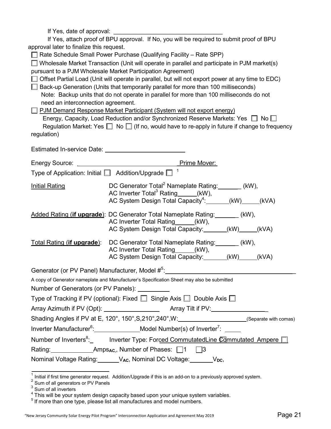| If Yes, attach proof of BPU approval. If No, you will be required to submit proof of BPU |                                                                                                                                                                       |  |
|------------------------------------------------------------------------------------------|-----------------------------------------------------------------------------------------------------------------------------------------------------------------------|--|
| approval later to finalize this request.                                                 |                                                                                                                                                                       |  |
|                                                                                          | □ Rate Schedule Small Power Purchase (Qualifying Facility – Rate SPP)<br>Wholesale Market Transaction (Unit will operate in parallel and participate in PJM market(s) |  |
|                                                                                          | pursuant to a PJM Wholesale Market Participation Agreement)                                                                                                           |  |
|                                                                                          | Offset Partial Load (Unit will operate in parallel, but will not export power at any time to EDC)                                                                     |  |
|                                                                                          | Back-up Generation (Units that temporarily parallel for more than 100 milliseconds)                                                                                   |  |
|                                                                                          | Note: Backup units that do not operate in parallel for more than 100 milliseconds do not                                                                              |  |
| need an interconnection agreement.                                                       |                                                                                                                                                                       |  |
|                                                                                          | PJM Demand Response Market Participant (System will not export energy)                                                                                                |  |
|                                                                                          | Energy, Capacity, Load Reduction and/or Synchronized Reserve Markets: Yes □ No □                                                                                      |  |
| regulation)                                                                              | Regulation Market: Yes $\Box$ No $\Box$ (If no, would have to re-apply in future if change to frequency                                                               |  |
|                                                                                          |                                                                                                                                                                       |  |
|                                                                                          |                                                                                                                                                                       |  |
|                                                                                          | Energy Source: The Mover: The Mover: The Mover:                                                                                                                       |  |
| Type of Application: Initial   Addition/Upgrade                                          | $\overline{1}$                                                                                                                                                        |  |
| <b>Initial Rating</b>                                                                    | DC Generator Total <sup>2</sup> Nameplate Rating: _______ (kW),                                                                                                       |  |
|                                                                                          | AC Inverter Total <sup>3</sup> Rating_____(kW),<br>AC System Design Total Capacity <sup>4</sup> :______(kW)_____(kVA)                                                 |  |
|                                                                                          |                                                                                                                                                                       |  |
|                                                                                          | Added Rating (if upgrade): DC Generator Total Nameplate Rating: ______ (kW),                                                                                          |  |
|                                                                                          | AC Inverter Total Rating (kW),                                                                                                                                        |  |
|                                                                                          | AC System Design Total Capacity: ______(kW) ____(kVA)                                                                                                                 |  |
| Total Rating (if upgrade):                                                               | DC Generator Total Nameplate Rating: _______ (kW),                                                                                                                    |  |
|                                                                                          | AC Inverter Total Rating_____(kW),<br>AC System Design Total Capacity:______(kW)_____(kVA)                                                                            |  |
|                                                                                          |                                                                                                                                                                       |  |
| Generator (or PV Panel) Manufacturer, Model # <sup>5</sup> :                             |                                                                                                                                                                       |  |
|                                                                                          | A copy of Generator nameplate and Manufacturer's Specification Sheet may also be submitted                                                                            |  |
| Number of Generators (or PV Panels): __________                                          |                                                                                                                                                                       |  |
| Type of Tracking if PV (optional): Fixed □ Single Axis □ Double Axis □                   |                                                                                                                                                                       |  |
|                                                                                          |                                                                                                                                                                       |  |
|                                                                                          |                                                                                                                                                                       |  |
|                                                                                          | Inverter Manufacturer <sup>6</sup> :______________Model Number(s) of Inverter <sup>7</sup> : _____                                                                    |  |
|                                                                                          | Number of Inverters <sup>8</sup> :_ Inverter Type: Forced CommutatedLine Commutated Ampere □                                                                          |  |
| Rating: _____________________Amps <sub>Ac,</sub> , Number of Phases: [1 [3               |                                                                                                                                                                       |  |
| Nominal Voltage Rating: VAc, Nominal DC Voltage: VDc,                                    |                                                                                                                                                                       |  |
|                                                                                          |                                                                                                                                                                       |  |

 $^{\text{1}}$  Initial if first time generator request. Addition/Upgrade if this is an add-on to a previously approved system.

 $2^{2}$  Sum of all generators or PV Panels

 $3$  Sum of all inverters

<span id="page-20-0"></span> $^4$  This will be your system design capacity based upon your unique system variables.

 $<sup>5</sup>$  If more than one type, please list all manufactures and model numbers.</sup>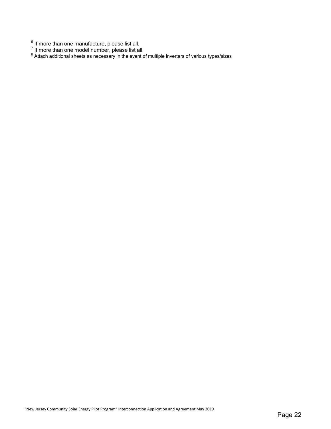$^6$  If more than one manufacture, please list all.

 $^7$  If more than one model number, please list all.<br><sup>8</sup> Attach additional sheets as necessary in the event of multiple inverters of various types/sizes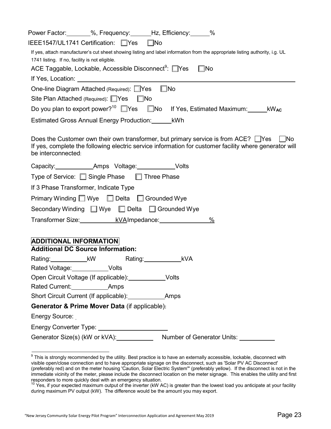| Power Factor: _______%, Frequency: ______Hz, Efficiency: _____%                                                                                                                                                                    |
|------------------------------------------------------------------------------------------------------------------------------------------------------------------------------------------------------------------------------------|
| IEEE1547/UL1741 Certification: □Yes<br>$\square$ No                                                                                                                                                                                |
| If yes, attach manufacturer's cut sheet showing listing and label information from the appropriate listing authority, i.g. UL                                                                                                      |
| 1741 listing. If no, facility is not eligible.                                                                                                                                                                                     |
| ACE Taggable, Lockable, Accessible Disconnect <sup>9</sup> : □Yes<br>$\square$ No                                                                                                                                                  |
|                                                                                                                                                                                                                                    |
| $\square$ No<br>One-line Diagram Attached (Required): Ves                                                                                                                                                                          |
| Site Plan Attached (Required): □Yes □ No                                                                                                                                                                                           |
| Do you plan to export power? <sup>10</sup> $\Box$ Yes $\Box$ No If Yes, Estimated Maximum: KWAC                                                                                                                                    |
| Estimated Gross Annual Energy Production: ________ kWh                                                                                                                                                                             |
| Does the Customer own their own transformer, but primary service is from ACE? $\Box$ Yes $\Box$ No<br>If yes, complete the following electric service information for customer facility where generator will<br>be interconnected: |
| Capacity:______________Amps Voltage:____________Volts                                                                                                                                                                              |
| Type of Service: □ Single Phase □ Three Phase                                                                                                                                                                                      |
| If 3 Phase Transformer, Indicate Type                                                                                                                                                                                              |
| Primary Winding Wye Delta Grounded Wye                                                                                                                                                                                             |
| Secondary Winding ■ Wye ■ Delta ■ Grounded Wye                                                                                                                                                                                     |
| Transformer Size: kVAImpedance:<br>%                                                                                                                                                                                               |
| <b>ADDITIONAL INFORMATION</b>                                                                                                                                                                                                      |
| <b>Additional DC Source Information:</b>                                                                                                                                                                                           |
| Rating:_______________ kVA<br>Rating:______________kW                                                                                                                                                                              |
| Rated Voltage: Volts                                                                                                                                                                                                               |
| Open Circuit Voltage (If applicable): ______________Volts                                                                                                                                                                          |
| Rated Current: Amps                                                                                                                                                                                                                |
|                                                                                                                                                                                                                                    |
| Generator & Prime Mover Data (if applicable):                                                                                                                                                                                      |
| Energy Source:                                                                                                                                                                                                                     |
|                                                                                                                                                                                                                                    |
|                                                                                                                                                                                                                                    |

<span id="page-22-0"></span><sup>&</sup>lt;sup>9</sup> This is strongly recommended by the utility. Best practice is to have an externally accessible, lockable, disconnect with visible open/close connection and to have appropriate signage on the disconnect, such as 'Solar PV AC Disconnect' (preferably red) and on the meter housing 'Caution, Solar Electric System'" (preferably yellow). If the disconnect is not in the immediate vicinity of the meter, please include the disconnect location on the meter signage. This enables the utility and first responders to more quickly deal with an emergency situation.<br><sup>10</sup> Yes, if your expected maximum output of the inverter (kW AC) is greater than the lowest load you anticipate at your facility

during maximum PV output (kW). The difference would be the amount you may export.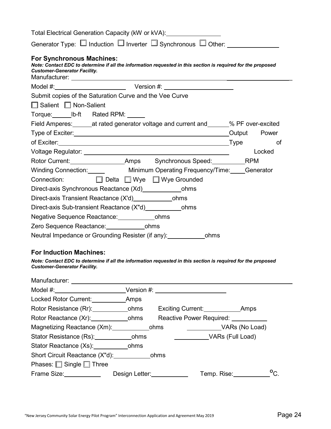| Total Electrical Generation Capacity (kW or kVA): \\essum_______________________                                                                                                        |        |
|-----------------------------------------------------------------------------------------------------------------------------------------------------------------------------------------|--------|
|                                                                                                                                                                                         |        |
| <b>For Synchronous Machines:</b><br>Note: Contact EDC to determine if all the information requested in this section is required for the proposed<br><b>Customer-Generator Facility.</b> |        |
|                                                                                                                                                                                         |        |
| Submit copies of the Saturation Curve and the Vee Curve                                                                                                                                 |        |
| $\Box$ Salient $\Box$ Non-Salient                                                                                                                                                       |        |
| Torque: ________ lb-ft Rated RPM: _______                                                                                                                                               |        |
| Field Amperes: _______at rated generator voltage and current and ______% PF over-excited                                                                                                |        |
| Type of Exciter: <u>Network of Australian Coupers Coupers Coupers Coupers</u> Couput Power                                                                                              |        |
|                                                                                                                                                                                         | of     |
|                                                                                                                                                                                         | Locked |
| Rotor Current: __________________________Amps Synchronous Speed: _____________RPM                                                                                                       |        |
| Winding Connection: Minimum Operating Frequency/Time: Generator                                                                                                                         |        |
| Connection: □ Delta □ Wye □ Wye Grounded                                                                                                                                                |        |
|                                                                                                                                                                                         |        |
|                                                                                                                                                                                         |        |
|                                                                                                                                                                                         |        |
| Negative Sequence Reactance: _________________ohms                                                                                                                                      |        |
| Zero Sequence Reactance: _____________________ohms                                                                                                                                      |        |
| Neutral Impedance or Grounding Resister (if any): ________________ohms                                                                                                                  |        |
|                                                                                                                                                                                         |        |

## **For Induction Machines:**

*Note: Contact EDC to determine if all the information requested in this section is required for the proposed Customer-Generator Facility.*

| Manufacturer:                                       |                                                                                                                                                                                                                                |                                     |
|-----------------------------------------------------|--------------------------------------------------------------------------------------------------------------------------------------------------------------------------------------------------------------------------------|-------------------------------------|
|                                                     |                                                                                                                                                                                                                                |                                     |
| Locked Rotor Current: Amps                          |                                                                                                                                                                                                                                |                                     |
| Rotor Resistance (Rr): cohms Exciting Current: Amps |                                                                                                                                                                                                                                |                                     |
|                                                     |                                                                                                                                                                                                                                | Reactive Power Required: __________ |
| Magnetizing Reactance (Xm): ohms                    |                                                                                                                                                                                                                                | VARs (No Load)                      |
| Stator Resistance (Rs): __________________ohms      |                                                                                                                                                                                                                                | VARs (Full Load)                    |
| Stator Reactance (Xs): _________________ohms        |                                                                                                                                                                                                                                |                                     |
| Short Circuit Reactance (X"d): chms                 |                                                                                                                                                                                                                                |                                     |
| Phases: $\Box$ Single $\Box$ Three                  |                                                                                                                                                                                                                                |                                     |
| Frame Size: The Contract of the Size:               | Design Letter: Network of the Second Second Second Second Second Second Second Second Second Second Second Second Second Second Second Second Second Second Second Second Second Second Second Second Second Second Second Sec | $^{\circ}$ C<br>Temp. Rise:         |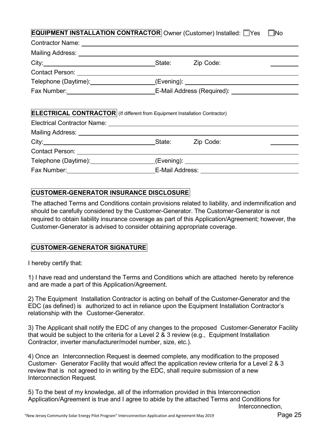### **EQUIPMENT INSTALLATION CONTRACTOR** Owner (Customer) Installed:  $\Box$ Yes  $\Box$ No

|                                                                                    | State: Zip Code: |  |
|------------------------------------------------------------------------------------|------------------|--|
|                                                                                    |                  |  |
| Telephone (Daytime): ___________________(Evening): _____________________________   |                  |  |
|                                                                                    |                  |  |
| <b>ELECTRICAL CONTRACTOR</b> (If different from Equipment Installation Contractor) |                  |  |
| City: City: City: City: City: City: City: City: City: City: City: City: Code:      |                  |  |
|                                                                                    |                  |  |
| Telephone (Daytime): (Evening): (Evening): (Evening)                               |                  |  |
|                                                                                    |                  |  |

#### **CUSTOMER-GENERATOR INSURANCE DISCLOSURE**

The attached Terms and Conditions contain provisions related to liability, and indemnification and should be carefully considered by the Customer-Generator. The Customer-Generator is not required to obtain liability insurance coverage as part of this Application/Agreement; however, the Customer-Generator is advised to consider obtaining appropriate coverage.

### **CUSTOMER-GENERATOR SIGNATURE**

I hereby certify that:

1) I have read and understand the Terms and Conditions which are attached hereto by reference and are made a part of this Application/Agreement.

2) The Equipment Installation Contractor is acting on behalf of the Customer-Generator and the EDC (as defined) is authorized to act in reliance upon the Equipment Installation Contractor's relationship with the Customer-Generator.

3) The Applicant shall notify the EDC of any changes to the proposed Customer-Generator Facility that would be subject to the criteria for a Level 2  $\&$  3 review (e.g., Equipment Installation Contractor, inverter manufacturer/model number, size, etc.).

4) Once an Interconnection Request is deemed complete, any modification to the proposed Customer- Generator Facility that would affect the application review criteria for a Level 2 & 3 review that is not agreed to in writing by the EDC, shall require submission of a new Interconnection Request.

5) To the best of my knowledge, all of the information provided in this Interconnection Application/Agreement is true and I agree to abide by the attached Terms and Conditions for Interconnection,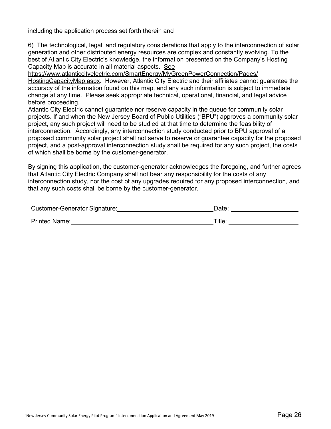including the application process set forth therein and

6) The technological, legal, and regulatory considerations that apply to the interconnection of solar generation and other distributed energy resources are complex and constantly evolving. To the best of Atlantic City Electric's knowledge, the information presented on the Company's Hosting Capacity Map is accurate in all material aspects. See

[https://www.atlanticcityelectric.com/SmartEnergy/MyGreenPowerConnection/Pages/](https://www.atlanticcityelectric.com/MyAccount/MyService/Pages/Hosting-Capacity-Map.aspx) HostingCapacityMap.aspx. However, Atlantic City Electric and their affiliates cannot guarantee the accuracy of the information found on this map, and any such information is subject to immediate change at any time. Please seek appropriate technical, operational, financial, and legal advice before proceeding.

Atlantic City Electric cannot guarantee nor reserve capacity in the queue for community solar projects. If and when the New Jersey Board of Public Utilities ("BPU") approves a community solar project, any such project will need to be studied at that time to determine the feasibility of interconnection. Accordingly, any interconnection study conducted prior to BPU approval of a proposed community solar project shall not serve to reserve or guarantee capacity for the proposed project, and a post-approval interconnection study shall be required for any such project, the costs of which shall be borne by the customer-generator.

By signing this application, the customer-generator acknowledges the foregoing, and further agrees that Atlantic City Electric Company shall not bear any responsibility for the costs of any interconnection study, nor the cost of any upgrades required for any proposed interconnection, and that any such costs shall be borne by the customer-generator.

| <b>Customer-Generator Signature:</b> | Date:  |
|--------------------------------------|--------|
| <b>Printed Name:</b>                 | Title. |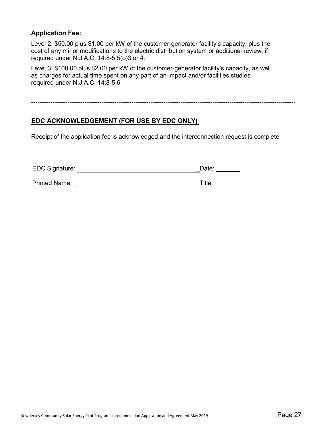#### **Application Fee:**

Level 2: \$50.00 plus \$1.00 per kW of the customer-generator facility's capacity, plus the cost of any minor modifications to the electric distribution system or additional review, if required under N.J.A.C. 14:8-5.5(o)3 or 4.

Level 3: \$100.00 plus \$2.00 per kW of the customer-generator facility's capacity, as well as charges for actual time spent on any part of an impact and/or facilities studies required under N.J.A.C. 14:8-5.6

## **EDC ACKNOWLEDGEMENT (FOR USE BY EDC ONLY)**

Receipt of the application fee is acknowledged and the interconnection request is complete

----------------------------------------------------------------------------------------------------------------------------

| <b>EDC Signature:</b> | Date: |  |  |
|-----------------------|-------|--|--|
|-----------------------|-------|--|--|

Printed Name: \_\_ Title: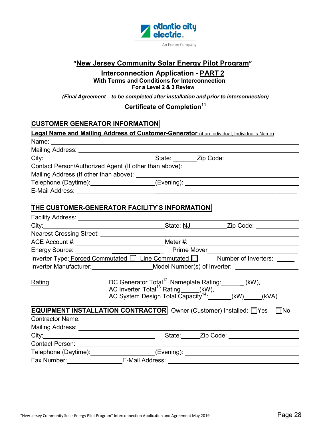

## **"New Jersey Community Solar Energy Pilot Program"**

## **Interconnection Application - PART 2 With Terms and Conditions for Interconnection For a Level 2 & 3 Review**

#### *(Final Agreement – to be completed after installation and prior to interconnection)*

## **Certificate of Completion<sup>11</sup>**

## **CUSTOMER GENERATOR INFORMATION**

|        | <b>Legal Name and Mailing Address of Customer-Generator</b> (if an Individual. Individual's Name)                                                                                                                                    |
|--------|--------------------------------------------------------------------------------------------------------------------------------------------------------------------------------------------------------------------------------------|
|        | Name: <u>Name:</u> Name: 2008 Name: 2008 Name: 2008 Name: 2008 Name: 2008 Name: 2008 Name: 2008 Name: 2008 Name: 2008 Name: 2008 Name: 2008 Name: 2008 Name: 2008 Name: 2008 Name: 2008 Name: 2008 Name: 2008 Name: 2008 Name: 2008  |
|        |                                                                                                                                                                                                                                      |
|        |                                                                                                                                                                                                                                      |
|        | Contact Person/Authorized Agent (If other than above): _________________________                                                                                                                                                     |
|        |                                                                                                                                                                                                                                      |
|        | Telephone (Daytime):___________________(Evening): ______________________________                                                                                                                                                     |
|        |                                                                                                                                                                                                                                      |
|        | THE CUSTOMER-GENERATOR FACILITY'S INFORMATION                                                                                                                                                                                        |
|        | Facility Address: Universe Product of Pacific Address:                                                                                                                                                                               |
|        |                                                                                                                                                                                                                                      |
|        |                                                                                                                                                                                                                                      |
|        |                                                                                                                                                                                                                                      |
|        | Energy Source: <u>Contract Contract Contract Contract Contract Contract Contract Contract Contract Contract Contract Contract Contract Contract Contract Contract Contract Contract Contract Contract Contract Contract Contract</u> |
|        | Inverter Type: Forced Commutated   Line Commutated   Number of Inverters: _____                                                                                                                                                      |
|        | Inverter Manufacturer: _______________________Model Number(s) of Inverter: ________________________                                                                                                                                  |
| Rating | DC Generator Total <sup>12</sup> Nameplate Rating: ______ (kW),<br>AC Inverter Total <sup>13</sup> Rating (KW), AC System Design Total Capacity <sup>14</sup> : (KW) (KW) (KVA)                                                      |
|        | <b>EQUIPMENT INSTALLATION CONTRACTOR</b> Owner (Customer) Installed: Ves No                                                                                                                                                          |
|        |                                                                                                                                                                                                                                      |
|        | Mailing Address: Universe and Address and Address and Address and Address and Address and Address and Address                                                                                                                        |
|        |                                                                                                                                                                                                                                      |
|        |                                                                                                                                                                                                                                      |
|        | Telephone (Daytime): ____________________(Evening): ____________________________                                                                                                                                                     |
|        | Fax Number: _____________________E-Mail Address: _______________________________                                                                                                                                                     |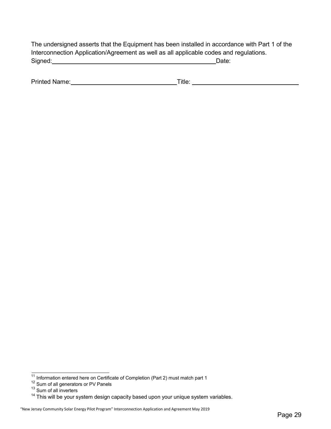| The undersigned asserts that the Equipment has been installed in accordance with Part 1 of the |       |
|------------------------------------------------------------------------------------------------|-------|
| Interconnection Application/Agreement as well as all applicable codes and regulations.         |       |
| Signed:                                                                                        | Date: |

| Printed<br>Name: | ıtle |  |
|------------------|------|--|
|                  |      |  |

 $11$  Information entered here on Certificate of Completion (Part 2) must match part 1

 $12$  Sum of all generators or PV Panels

<sup>&</sup>lt;sup>13</sup> Sum of all inverters

<sup>&</sup>lt;sup>14</sup> This will be your system design capacity based upon your unique system variables.